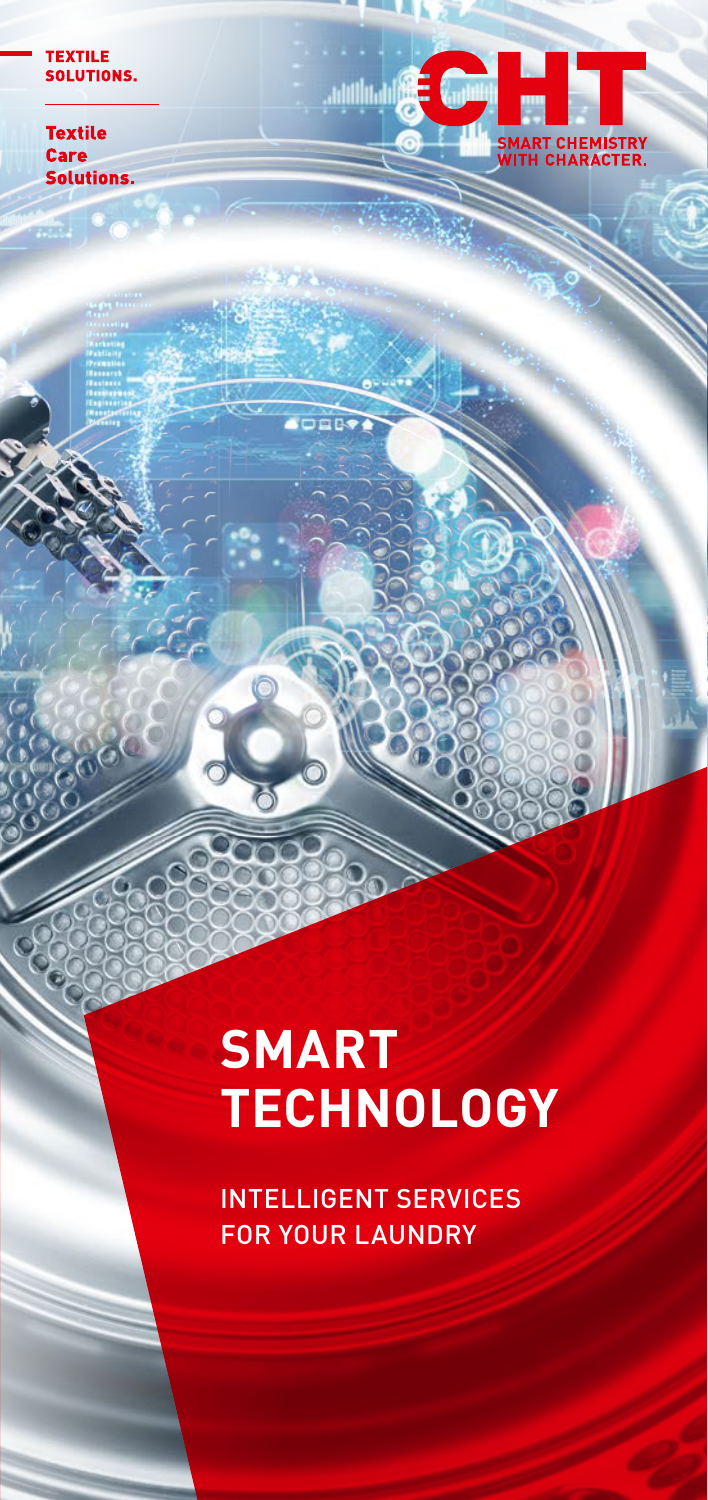#### **TEXTILE SOLUTIONS.**

**Textile Care Solutions.** 

55



# **SMART TECHNOLOGY**

 $\overline{p}$ 

INTELLIGENT SERVICES FOR YOUR LAUNDRY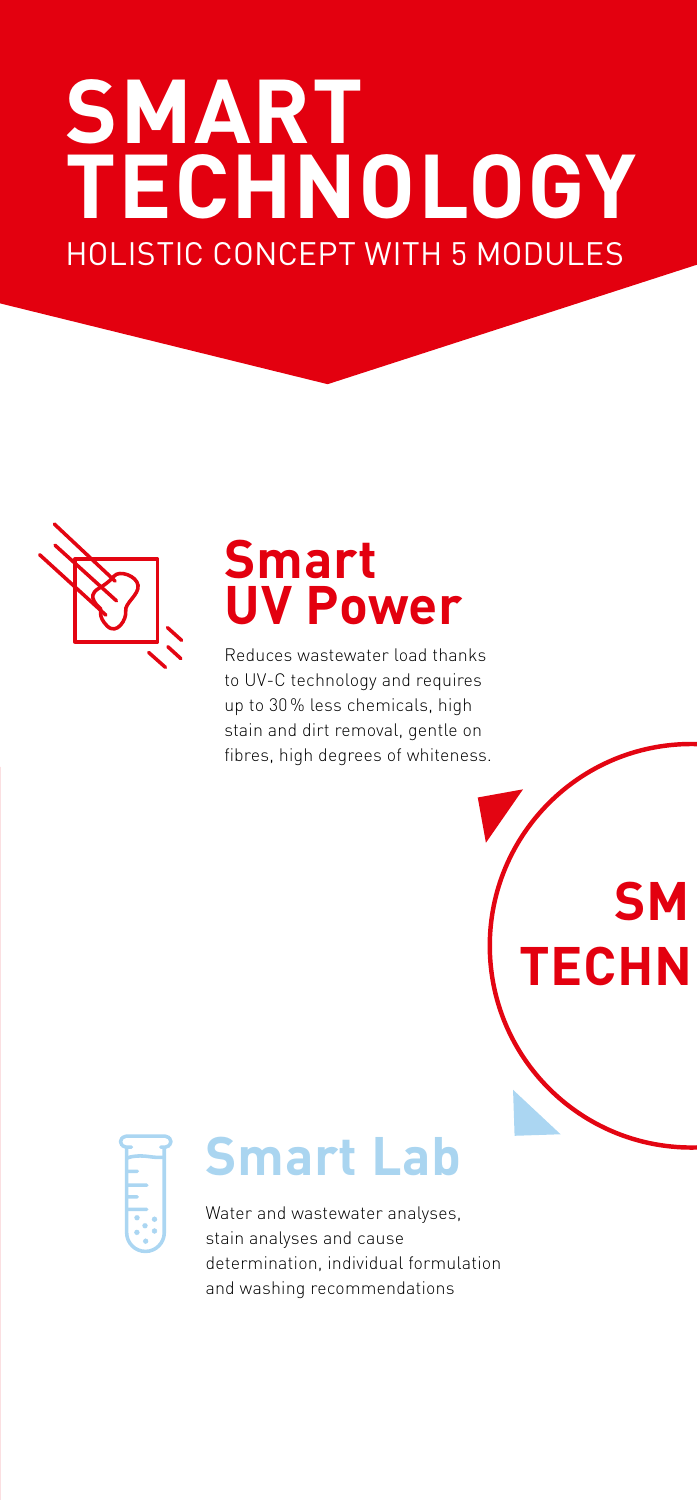# **SMART TECHNOLOGY** HOLISTIC CONCEPT WITH 5 MODULES



## **Smart UV Power**

Reduces wastewater load thanks to UV-C technology and requires up to 30 % less chemicals, high stain and dirt removal, gentle on fibres, high degrees of whiteness.

**SM** 

**TECHN** 



## **Smart Lab**

Water and wastewater analyses, stain analyses and cause determination, individual formulation and washing recommendations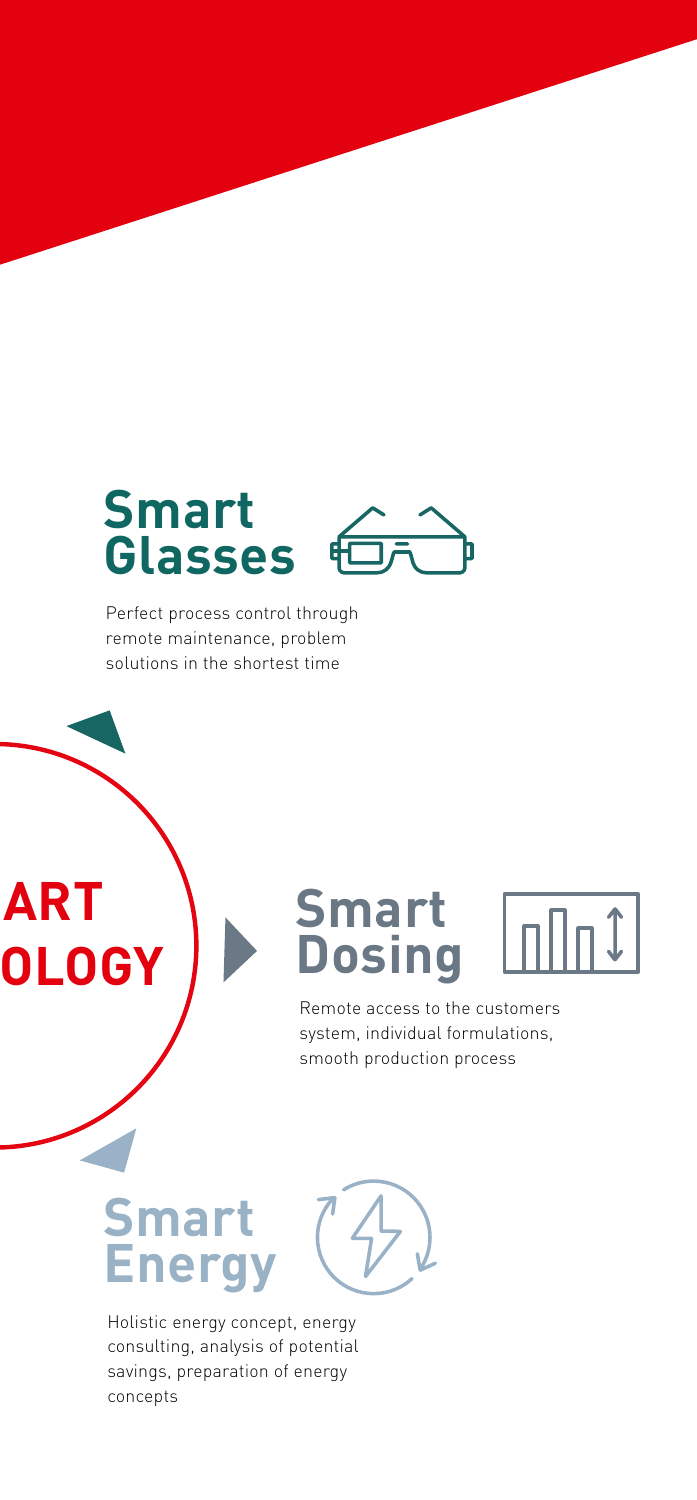## **Smart Glasses**

Perfect process control through remote maintenance, problem solutions in the shortest time

## **Smart Dosing**



Remote access to the customers system, individual formulations, smooth production process

## **Smart Energy**

**ART** 

**OLOGY** 

Holistic energy concept, energy consulting, analysis of potential savings, preparation of energy concepts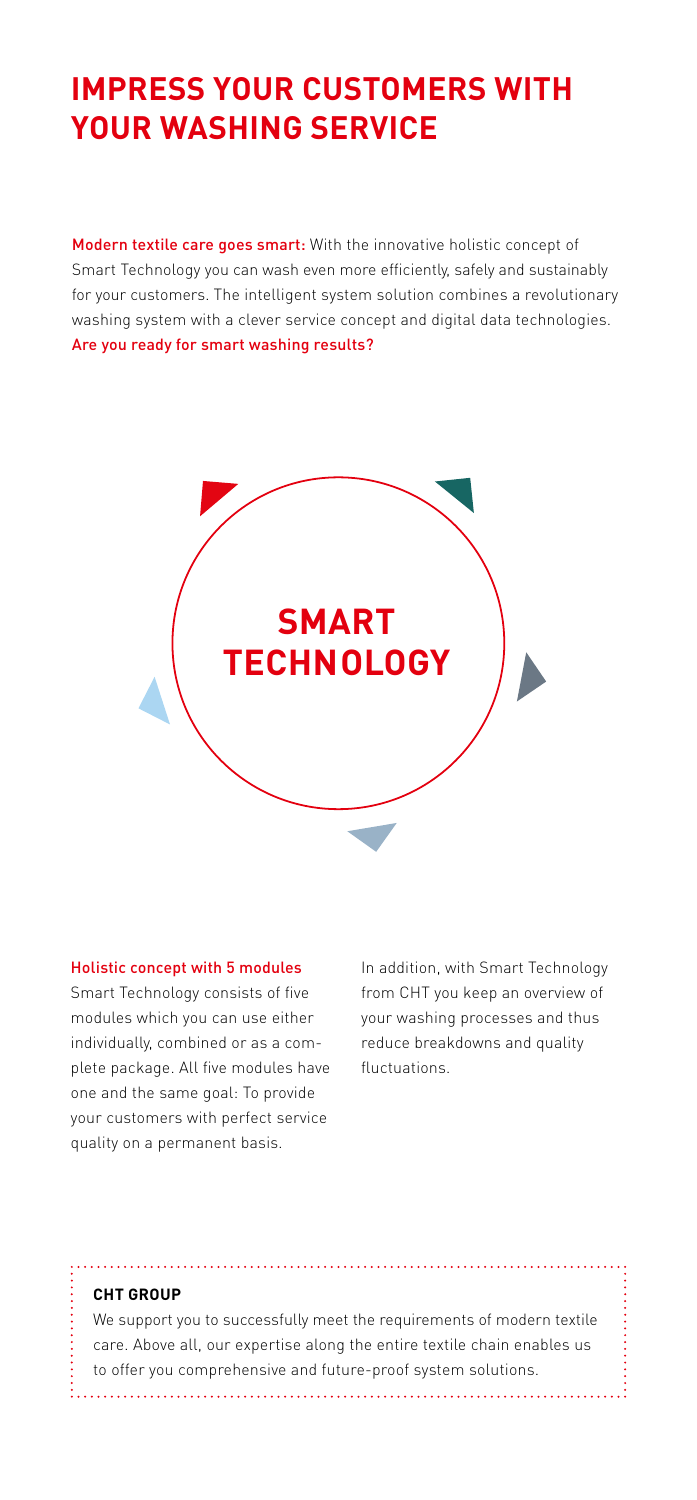### **IMPRESS YOUR CUSTOMERS WITH YOUR WASHING SERVICE**

Modern textile care goes smart: With the innovative holistic concept of Smart Technology you can wash even more efficiently, safely and sustainably for your customers. The intelligent system solution combines a revolutionary washing system with a clever service concept and digital data technologies. Are you ready for smart washing results?



#### Holistic concept with 5 modules

Smart Technology consists of five modules which you can use either individually, combined or as a complete package. All five modules have one and the same goal: To provide your customers with perfect service quality on a permanent basis.

In addition, with Smart Technology from CHT you keep an overview of your washing processes and thus reduce breakdowns and quality fluctuations.

#### **CHT GROUP**

We support you to successfully meet the requirements of modern textile care. Above all, our expertise along the entire textile chain enables us to offer you comprehensive and future-proof system solutions.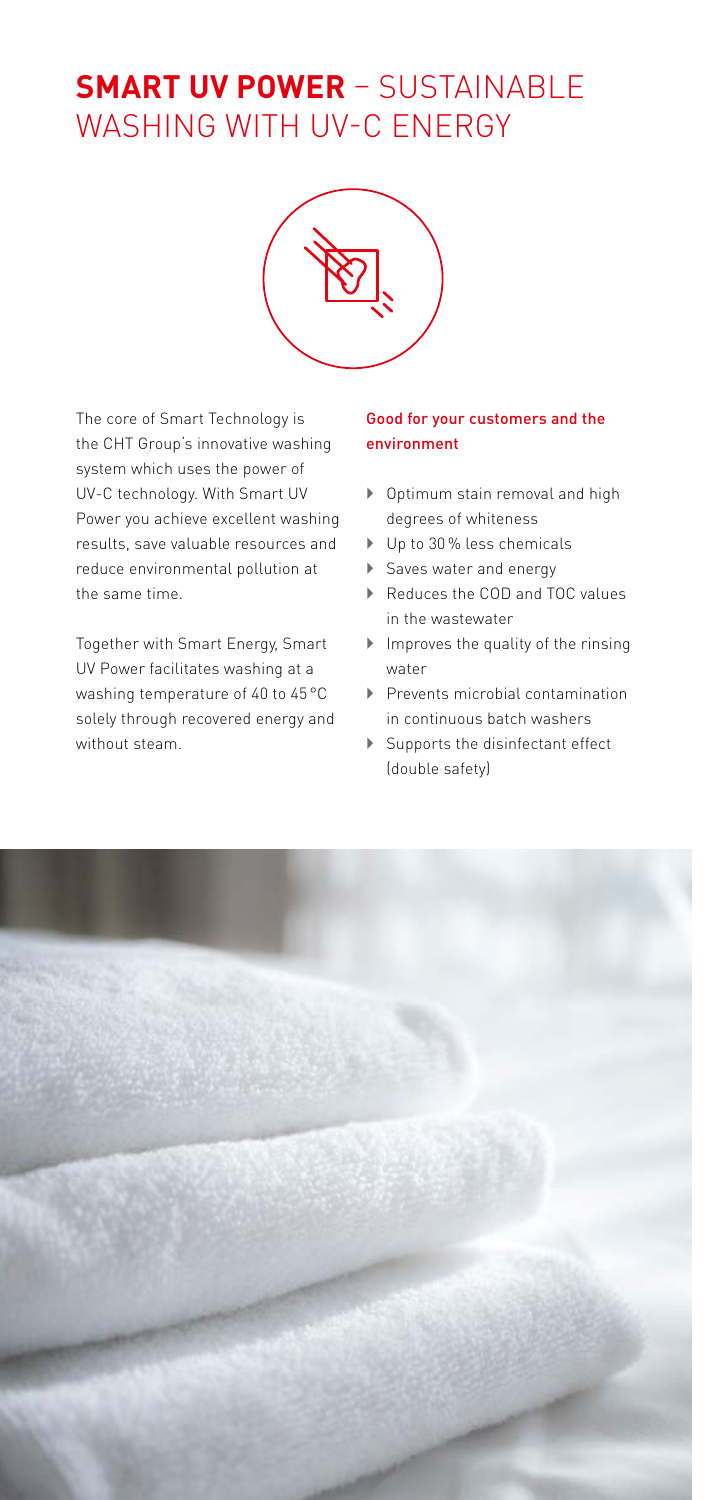### **SMART UV POWER** – SUSTAINABLE WASHING WITH UV-C ENERGY



The core of Smart Technology is the CHT Group's innovative washing system which uses the power of UV-C technology. With Smart UV Power you achieve excellent washing results, save valuable resources and reduce environmental pollution at the same time.

Together with Smart Energy, Smart UV Power facilitates washing at a washing temperature of 40 to 45 °C solely through recovered energy and without steam.

#### Good for your customers and the environment

- $\triangleright$  Optimum stain removal and high degrees of whiteness
- ▶ Up to 30% less chemicals
- Saves water and energy
- ▶ Reduces the COD and TOC values in the wastewater
- $\blacktriangleright$  Improves the quality of the rinsing water
- $\blacktriangleright$  Prevents microbial contamination in continuous batch washers
- $\blacktriangleright$  Supports the disinfectant effect (double safety)

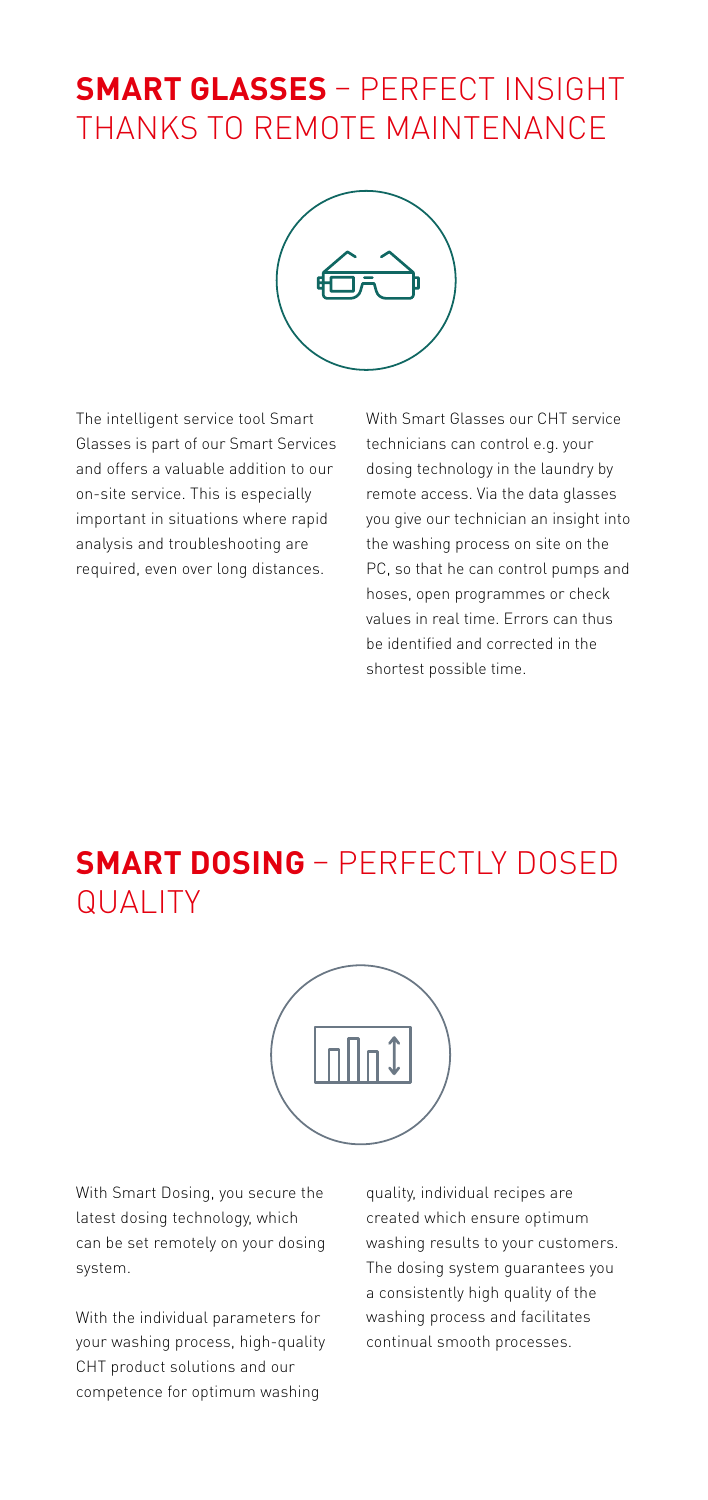## **SMART GLASSES** – PERFECT INSIGHT THANKS TO REMOTE MAINTENANCE



The intelligent service tool Smart Glasses is part of our Smart Services and offers a valuable addition to our on-site service. This is especially important in situations where rapid analysis and troubleshooting are required, even over long distances.

With Smart Glasses our CHT service technicians can control e.g. your dosing technology in the laundry by remote access. Via the data glasses you give our technician an insight into the washing process on site on the PC, so that he can control pumps and hoses, open programmes or check values in real time. Errors can thus be identified and corrected in the shortest possible time.

### **SMART DOSING** – PERFECTLY DOSED QUALITY



With Smart Dosing, you secure the latest dosing technology, which can be set remotely on your dosing system.

With the individual parameters for your washing process, high-quality CHT product solutions and our competence for optimum washing

quality, individual recipes are created which ensure optimum washing results to your customers. The dosing system guarantees you a consistently high quality of the washing process and facilitates continual smooth processes.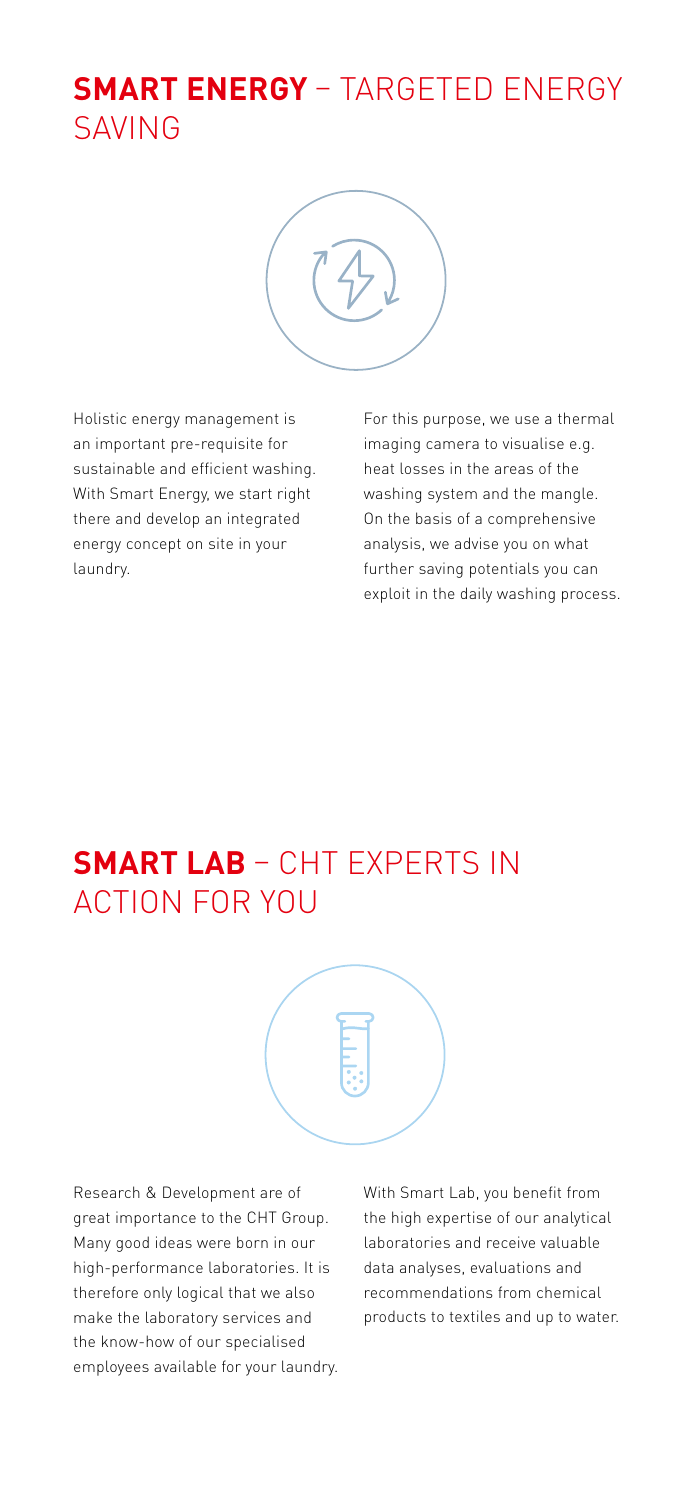## **SMART ENERGY** – TARGETED ENERGY SAVING



Holistic energy management is an important pre-requisite for sustainable and efficient washing. With Smart Energy, we start right there and develop an integrated energy concept on site in your laundry.

For this purpose, we use a thermal imaging camera to visualise e.g. heat losses in the areas of the washing system and the mangle. On the basis of a comprehensive analysis, we advise you on what further saving potentials you can exploit in the daily washing process.

### **SMART LAB** – CHT EXPERTS IN ACTION FOR YOU



Research & Development are of great importance to the CHT Group. Many good ideas were born in our high-performance laboratories. It is therefore only logical that we also make the laboratory services and the know-how of our specialised employees available for your laundry. With Smart Lab, you benefit from the high expertise of our analytical laboratories and receive valuable data analyses, evaluations and recommendations from chemical products to textiles and up to water.